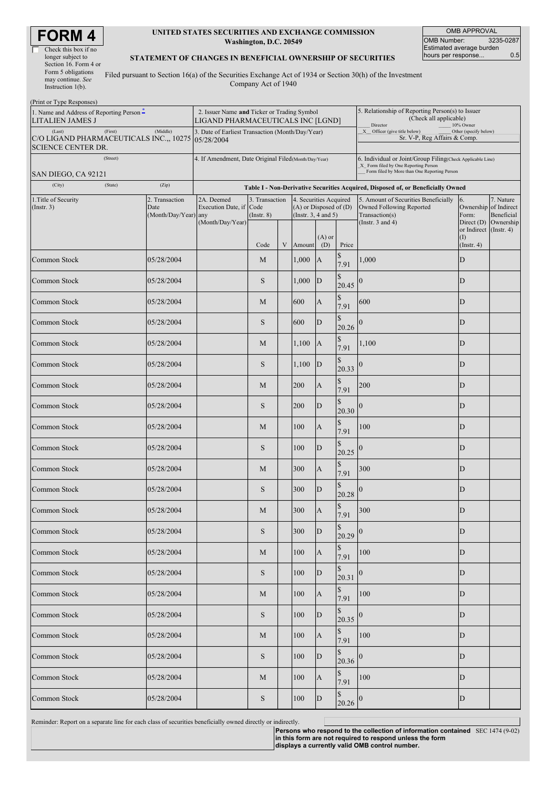| <b>RM</b>            |
|----------------------|
| Check this box if no |



#### **UNITED STATES SECURITIES AND EXCHANGE COMMISSION Washington, D.C. 20549**

OMB APPROVAL OMB Number: 3235-0287 Estimated average burden hours per response... 0.5

### **STATEMENT OF CHANGES IN BENEFICIAL OWNERSHIP OF SECURITIES**

Filed pursuant to Section 16(a) of the Securities Exchange Act of 1934 or Section 30(h) of the Investment Company Act of 1940

| (Print or Type Responses)                                                                 |                                                                                  |                                                           |                                   |   |                                                                                  |                                                                                                     |                                                                                                                                                     |                                                                                                                                          |                         |                                                                                         |
|-------------------------------------------------------------------------------------------|----------------------------------------------------------------------------------|-----------------------------------------------------------|-----------------------------------|---|----------------------------------------------------------------------------------|-----------------------------------------------------------------------------------------------------|-----------------------------------------------------------------------------------------------------------------------------------------------------|------------------------------------------------------------------------------------------------------------------------------------------|-------------------------|-----------------------------------------------------------------------------------------|
| 1. Name and Address of Reporting Person $\tilde{-}$<br><b>LITALIEN JAMES J</b>            | 2. Issuer Name and Ticker or Trading Symbol<br>LIGAND PHARMACEUTICALS INC [LGND] |                                                           |                                   |   |                                                                                  | 5. Relationship of Reporting Person(s) to Issuer<br>(Check all applicable)<br>10% Owner<br>Director |                                                                                                                                                     |                                                                                                                                          |                         |                                                                                         |
| (First)<br>(Last)<br>C/O LIGAND PHARMACEUTICALS INC.,, 10275<br><b>SCIENCE CENTER DR.</b> | 3. Date of Earliest Transaction (Month/Day/Year)<br>05/28/2004                   |                                                           |                                   |   |                                                                                  | X Officer (give title below)<br>Other (specify below)<br>Sr. V-P, Reg Affairs & Comp.               |                                                                                                                                                     |                                                                                                                                          |                         |                                                                                         |
| (Street)                                                                                  |                                                                                  | 4. If Amendment, Date Original Filed(Month/Day/Year)      |                                   |   |                                                                                  |                                                                                                     |                                                                                                                                                     |                                                                                                                                          |                         |                                                                                         |
| SAN DIEGO, CA 92121                                                                       |                                                                                  |                                                           |                                   |   |                                                                                  |                                                                                                     | 6. Individual or Joint/Group Filing(Check Applicable Line)<br>X_ Form filed by One Reporting Person<br>Form filed by More than One Reporting Person |                                                                                                                                          |                         |                                                                                         |
| (City)<br>(State)                                                                         | (Zip)                                                                            |                                                           |                                   |   |                                                                                  |                                                                                                     | Table I - Non-Derivative Securities Acquired, Disposed of, or Beneficially Owned                                                                    |                                                                                                                                          |                         |                                                                                         |
| 1. Title of Security<br>$($ Instr. 3 $)$                                                  | 2. Transaction<br>Date<br>(Month/Day/Year) any                                   | 2A. Deemed<br>Execution Date, if Code<br>(Month/Day/Year) | 3. Transaction<br>$($ Instr. $8)$ |   | 4. Securities Acquired<br>$(A)$ or Disposed of $(D)$<br>(Instr. $3, 4$ and $5$ ) |                                                                                                     |                                                                                                                                                     | 5. Amount of Securities Beneficially<br>6.<br>Owned Following Reported<br>Transaction(s)<br>Form:<br>(Instr. $3$ and $4$ )<br>Direct (D) |                         | 7. Nature<br>Ownership of Indirect<br>Beneficial<br>Ownership<br>or Indirect (Instr. 4) |
|                                                                                           |                                                                                  |                                                           | Code                              | V | Amount                                                                           | $(A)$ or<br>(D)                                                                                     | Price                                                                                                                                               |                                                                                                                                          | (I)<br>$($ Instr. 4 $)$ |                                                                                         |
| Common Stock                                                                              | 05/28/2004                                                                       |                                                           | M                                 |   | 1,000                                                                            | $\mathbf{A}$                                                                                        | \$<br>7.91                                                                                                                                          | 1,000                                                                                                                                    | D                       |                                                                                         |
| Common Stock                                                                              | 05/28/2004                                                                       |                                                           | S                                 |   | 1,000                                                                            | $\mathbf{D}$                                                                                        | \$<br>20.45                                                                                                                                         | $\Omega$                                                                                                                                 | D                       |                                                                                         |
| Common Stock                                                                              | 05/28/2004                                                                       |                                                           | M                                 |   | 600                                                                              | A                                                                                                   | \$<br>7.91                                                                                                                                          | 600                                                                                                                                      | D                       |                                                                                         |
| Common Stock                                                                              | 05/28/2004                                                                       |                                                           | S                                 |   | 600                                                                              | $\mathbf D$                                                                                         | \$<br>20.26                                                                                                                                         | $\theta$                                                                                                                                 | D                       |                                                                                         |
| Common Stock                                                                              | 05/28/2004                                                                       |                                                           | М                                 |   | 1,100                                                                            | $\mathbf{A}$                                                                                        | \$<br>7.91                                                                                                                                          | 1,100                                                                                                                                    | D                       |                                                                                         |
| Common Stock                                                                              | 05/28/2004                                                                       |                                                           | S                                 |   | 1,100                                                                            | $\mathbf{D}$                                                                                        | \$<br>20.33                                                                                                                                         | $\overline{0}$                                                                                                                           | D                       |                                                                                         |
| Common Stock                                                                              | 05/28/2004                                                                       |                                                           | M                                 |   | 200                                                                              | A                                                                                                   | \$<br>7.91                                                                                                                                          | 200                                                                                                                                      | D                       |                                                                                         |
| Common Stock                                                                              | 05/28/2004                                                                       |                                                           | S                                 |   | 200                                                                              | $\mathbf D$                                                                                         | \$<br>20.30                                                                                                                                         | $\boldsymbol{0}$                                                                                                                         | D                       |                                                                                         |
| Common Stock                                                                              | 05/28/2004                                                                       |                                                           | M                                 |   | 100                                                                              | A                                                                                                   | \$<br>7.91                                                                                                                                          | 100                                                                                                                                      | D                       |                                                                                         |
| Common Stock                                                                              | 05/28/2004                                                                       |                                                           | S                                 |   | 100                                                                              | D                                                                                                   | \$<br>20.25                                                                                                                                         | $\overline{0}$                                                                                                                           | D                       |                                                                                         |
| Common Stock                                                                              | 05/28/2004                                                                       |                                                           | M                                 |   | 300                                                                              | A                                                                                                   | \$<br>7.91                                                                                                                                          | 300                                                                                                                                      | D                       |                                                                                         |
| Common Stock                                                                              | 05/28/2004                                                                       |                                                           | S                                 |   | 300                                                                              | $\mathbf D$                                                                                         | \$.<br>20.28                                                                                                                                        | 0                                                                                                                                        | $\mathbf D$             |                                                                                         |
| Common Stock                                                                              | 05/28/2004                                                                       |                                                           | М                                 |   | 300                                                                              | A                                                                                                   | \$<br>7.91                                                                                                                                          | 300                                                                                                                                      | D                       |                                                                                         |
| Common Stock                                                                              | 05/28/2004                                                                       |                                                           | S                                 |   | 300                                                                              | D                                                                                                   | \$<br>20.29                                                                                                                                         | $\bf{0}$                                                                                                                                 | $\mathbf D$             |                                                                                         |
| Common Stock                                                                              | 05/28/2004                                                                       |                                                           | M                                 |   | 100                                                                              | $\mathbf{A}$                                                                                        | \$<br>7.91                                                                                                                                          | 100                                                                                                                                      | D                       |                                                                                         |
| Common Stock                                                                              | 05/28/2004                                                                       |                                                           | $\mathbf S$                       |   | 100                                                                              | ${\bf D}$                                                                                           | \$<br>20.31                                                                                                                                         | $\boldsymbol{0}$                                                                                                                         | D                       |                                                                                         |
| Common Stock                                                                              | 05/28/2004                                                                       |                                                           | M                                 |   | 100                                                                              | A                                                                                                   | \$<br>7.91                                                                                                                                          | 100                                                                                                                                      | $\mathbf D$             |                                                                                         |
| Common Stock                                                                              | 05/28/2004                                                                       |                                                           | S                                 |   | 100                                                                              | ${\bf D}$                                                                                           | \$<br>20.35                                                                                                                                         | $\boldsymbol{0}$                                                                                                                         | D                       |                                                                                         |
| Common Stock                                                                              | 05/28/2004                                                                       |                                                           | M                                 |   | 100                                                                              | $\boldsymbol{\mathsf{A}}$                                                                           | \$<br>7.91                                                                                                                                          | 100                                                                                                                                      | D                       |                                                                                         |
| Common Stock                                                                              | 05/28/2004                                                                       |                                                           | S                                 |   | 100                                                                              | D                                                                                                   | \$<br>20.36                                                                                                                                         | $\boldsymbol{0}$                                                                                                                         | D                       |                                                                                         |
| Common Stock                                                                              | 05/28/2004                                                                       |                                                           | M                                 |   | 100                                                                              | A                                                                                                   | \$<br>7.91                                                                                                                                          | 100                                                                                                                                      | D                       |                                                                                         |
| Common Stock                                                                              | 05/28/2004                                                                       |                                                           | S                                 |   | $100\,$                                                                          | ${\bf D}$                                                                                           | \$<br>20.26 0                                                                                                                                       |                                                                                                                                          | D                       |                                                                                         |

Reminder: Report on a separate line for each class of securities beneficially owned directly or indirectly.

**Persons who respond to the collection of information contained in this form are not required to respond unless the form** SEC 1474 (9-02)**displays a currently valid OMB control number.**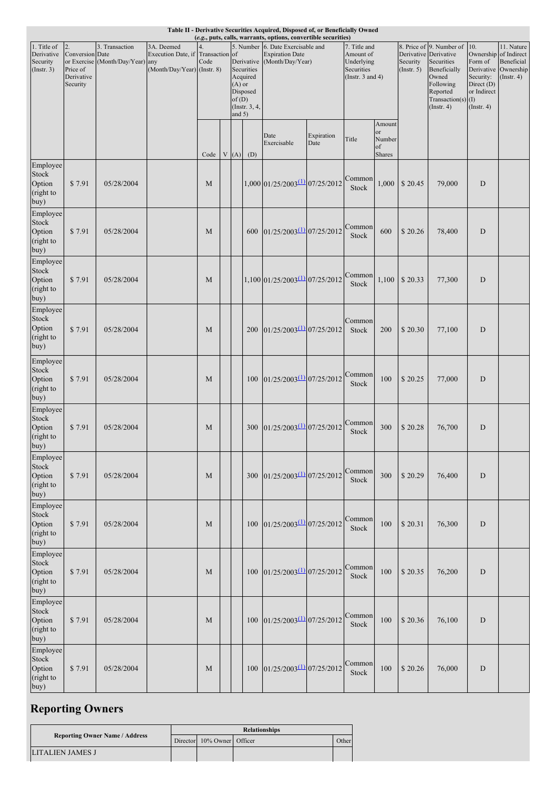| Table II - Derivative Securities Acquired, Disposed of, or Beneficially Owned<br>(e.g., puts, calls, warrants, options, convertible securities) |                       |                                  |                                                 |      |  |          |                 |                                                             |            |                           |                         |             |                                                   |                              |                  |
|-------------------------------------------------------------------------------------------------------------------------------------------------|-----------------------|----------------------------------|-------------------------------------------------|------|--|----------|-----------------|-------------------------------------------------------------|------------|---------------------------|-------------------------|-------------|---------------------------------------------------|------------------------------|------------------|
|                                                                                                                                                 |                       |                                  |                                                 |      |  |          |                 |                                                             |            |                           |                         |             |                                                   |                              |                  |
| 1. Title of<br>Derivative                                                                                                                       | 2.<br>Conversion Date | 3. Transaction                   | 3A. Deemed<br>Execution Date, if Transaction of | 4.   |  |          |                 | 5. Number 6. Date Exercisable and<br><b>Expiration Date</b> |            | 7. Title and<br>Amount of |                         |             | 8. Price of 9. Number of<br>Derivative Derivative | 10.<br>Ownership of Indirect | 11. Nature       |
| Security                                                                                                                                        |                       | or Exercise (Month/Day/Year) any |                                                 | Code |  |          |                 | Derivative (Month/Day/Year)                                 |            | Underlying                |                         | Security    | Securities                                        | Form of                      | Beneficial       |
| $($ Instr. 3 $)$                                                                                                                                | Price of              |                                  | (Month/Day/Year) (Instr. 8)                     |      |  |          | Securities      |                                                             |            | Securities                |                         | (Insert. 5) | Beneficially                                      | Derivative                   | Ownership        |
|                                                                                                                                                 | Derivative            |                                  |                                                 |      |  |          | Acquired        |                                                             |            | (Instr. $3$ and $4$ )     |                         |             | Owned                                             | Security:                    | $($ Instr. 4 $)$ |
|                                                                                                                                                 | Security              |                                  |                                                 |      |  | $(A)$ or | Disposed        |                                                             |            |                           |                         |             | Following<br>Reported                             | Direct (D)<br>or Indirect    |                  |
|                                                                                                                                                 |                       |                                  |                                                 |      |  | of(D)    |                 |                                                             |            |                           |                         |             | Transaction(s) $(I)$                              |                              |                  |
|                                                                                                                                                 |                       |                                  |                                                 |      |  |          | (Instr. $3, 4,$ |                                                             |            |                           |                         |             | $($ Instr. 4 $)$                                  | (Insert. 4)                  |                  |
|                                                                                                                                                 |                       |                                  |                                                 |      |  | and $5)$ |                 |                                                             |            |                           |                         |             |                                                   |                              |                  |
|                                                                                                                                                 |                       |                                  |                                                 |      |  |          |                 |                                                             |            |                           | Amount                  |             |                                                   |                              |                  |
|                                                                                                                                                 |                       |                                  |                                                 |      |  |          |                 | Date                                                        | Expiration | Title                     | <sub>or</sub><br>Number |             |                                                   |                              |                  |
|                                                                                                                                                 |                       |                                  |                                                 |      |  |          |                 | Exercisable                                                 | Date       |                           | of                      |             |                                                   |                              |                  |
|                                                                                                                                                 |                       |                                  |                                                 | Code |  |          | $V(A)$ (D)      |                                                             |            |                           | <b>Shares</b>           |             |                                                   |                              |                  |
| Employee                                                                                                                                        |                       |                                  |                                                 |      |  |          |                 |                                                             |            |                           |                         |             |                                                   |                              |                  |
| Stock                                                                                                                                           |                       |                                  |                                                 |      |  |          |                 |                                                             |            | Common                    |                         |             |                                                   |                              |                  |
| Option                                                                                                                                          | \$7.91                | 05/28/2004                       |                                                 | M    |  |          |                 | $1,000$ 01/25/2003 $\frac{(1)}{(25/2003)}$ 07/25/2012       |            | Stock                     | 1,000                   | \$20.45     | 79,000                                            | D                            |                  |
| (right to                                                                                                                                       |                       |                                  |                                                 |      |  |          |                 |                                                             |            |                           |                         |             |                                                   |                              |                  |
| buy)                                                                                                                                            |                       |                                  |                                                 |      |  |          |                 |                                                             |            |                           |                         |             |                                                   |                              |                  |
| Employee                                                                                                                                        |                       |                                  |                                                 |      |  |          |                 |                                                             |            |                           |                         |             |                                                   |                              |                  |
| Stock                                                                                                                                           |                       |                                  |                                                 |      |  |          |                 |                                                             |            |                           |                         |             |                                                   |                              |                  |
| Option                                                                                                                                          | \$7.91                | 05/28/2004                       |                                                 | M    |  |          | 600             | $01/25/2003$ <sup>(1)</sup> $07/25/2012$                    |            | Common<br>Stock           | 600                     | \$20.26     | 78,400                                            | D                            |                  |
| (right to                                                                                                                                       |                       |                                  |                                                 |      |  |          |                 |                                                             |            |                           |                         |             |                                                   |                              |                  |
| buy)                                                                                                                                            |                       |                                  |                                                 |      |  |          |                 |                                                             |            |                           |                         |             |                                                   |                              |                  |
| Employee                                                                                                                                        |                       |                                  |                                                 |      |  |          |                 |                                                             |            |                           |                         |             |                                                   |                              |                  |
| Stock                                                                                                                                           |                       |                                  |                                                 |      |  |          |                 |                                                             |            | Common                    |                         |             |                                                   |                              |                  |
| Option                                                                                                                                          | \$7.91                | 05/28/2004                       |                                                 | M    |  |          |                 | $1,100$ 01/25/2003 $\frac{(1)}{(25/2003)}$ 07/25/2012       |            | Stock                     | 1,100                   | \$20.33     | 77,300                                            | D                            |                  |
| (right to                                                                                                                                       |                       |                                  |                                                 |      |  |          |                 |                                                             |            |                           |                         |             |                                                   |                              |                  |
| buy)                                                                                                                                            |                       |                                  |                                                 |      |  |          |                 |                                                             |            |                           |                         |             |                                                   |                              |                  |
| Employee                                                                                                                                        |                       |                                  |                                                 |      |  |          |                 |                                                             |            |                           |                         |             |                                                   |                              |                  |
| Stock                                                                                                                                           |                       |                                  |                                                 |      |  |          |                 |                                                             |            | Common                    |                         |             |                                                   |                              |                  |
| Option                                                                                                                                          | \$7.91                | 05/28/2004                       |                                                 | M    |  |          | 200             | $01/25/2003$ <sup>(1)</sup> $07/25/2012$                    |            | Stock                     | 200                     | \$20.30     | 77,100                                            | D                            |                  |
| (right to                                                                                                                                       |                       |                                  |                                                 |      |  |          |                 |                                                             |            |                           |                         |             |                                                   |                              |                  |
| buy)                                                                                                                                            |                       |                                  |                                                 |      |  |          |                 |                                                             |            |                           |                         |             |                                                   |                              |                  |
| Employee                                                                                                                                        |                       |                                  |                                                 |      |  |          |                 |                                                             |            |                           |                         |             |                                                   |                              |                  |
| Stock                                                                                                                                           |                       |                                  |                                                 |      |  |          |                 |                                                             |            |                           |                         |             |                                                   |                              |                  |
| Option                                                                                                                                          | \$7.91                | 05/28/2004                       |                                                 | M    |  |          | 100             | $01/25/2003$ <sup>(1)</sup> $07/25/2012$                    |            | Common                    | 100                     | \$20.25     | 77,000                                            | D                            |                  |
| (right to                                                                                                                                       |                       |                                  |                                                 |      |  |          |                 |                                                             |            | Stock                     |                         |             |                                                   |                              |                  |
| buy)                                                                                                                                            |                       |                                  |                                                 |      |  |          |                 |                                                             |            |                           |                         |             |                                                   |                              |                  |
| Employee                                                                                                                                        |                       |                                  |                                                 |      |  |          |                 |                                                             |            |                           |                         |             |                                                   |                              |                  |
| Stock                                                                                                                                           |                       |                                  |                                                 |      |  |          |                 |                                                             |            |                           |                         |             |                                                   |                              |                  |
| Option                                                                                                                                          | \$7.91                | 05/28/2004                       |                                                 | M    |  |          | 300             | $01/25/2003$ <sup>(1)</sup> $07/25/2012$                    |            | Common                    | 300                     | \$20.28     | 76,700                                            | D                            |                  |
| (right to                                                                                                                                       |                       |                                  |                                                 |      |  |          |                 |                                                             |            | Stock                     |                         |             |                                                   |                              |                  |
| buy)                                                                                                                                            |                       |                                  |                                                 |      |  |          |                 |                                                             |            |                           |                         |             |                                                   |                              |                  |
| Employee                                                                                                                                        |                       |                                  |                                                 |      |  |          |                 |                                                             |            |                           |                         |             |                                                   |                              |                  |
| Stock                                                                                                                                           |                       |                                  |                                                 |      |  |          |                 |                                                             |            | Common                    |                         |             |                                                   |                              |                  |
| Option                                                                                                                                          | \$7.91                | 05/28/2004                       |                                                 | M    |  |          | 300             | $01/25/2003$ <sup>(1)</sup> $07/25/2012$                    |            | Stock                     | 300                     | \$20.29     | 76,400                                            | $\mathbf D$                  |                  |
| (right to                                                                                                                                       |                       |                                  |                                                 |      |  |          |                 |                                                             |            |                           |                         |             |                                                   |                              |                  |
| buy)                                                                                                                                            |                       |                                  |                                                 |      |  |          |                 |                                                             |            |                           |                         |             |                                                   |                              |                  |
| Employee                                                                                                                                        |                       |                                  |                                                 |      |  |          |                 |                                                             |            |                           |                         |             |                                                   |                              |                  |
| Stock                                                                                                                                           |                       |                                  |                                                 |      |  |          |                 |                                                             |            | Common                    |                         |             |                                                   |                              |                  |
| Option                                                                                                                                          | \$7.91                | 05/28/2004                       |                                                 | M    |  |          | 100             | $01/25/2003$ <sup>(1)</sup> $07/25/2012$                    |            | Stock                     | 100                     | \$20.31     | 76,300                                            | D                            |                  |
| (right to                                                                                                                                       |                       |                                  |                                                 |      |  |          |                 |                                                             |            |                           |                         |             |                                                   |                              |                  |
| buy)                                                                                                                                            |                       |                                  |                                                 |      |  |          |                 |                                                             |            |                           |                         |             |                                                   |                              |                  |
| Employee                                                                                                                                        |                       |                                  |                                                 |      |  |          |                 |                                                             |            |                           |                         |             |                                                   |                              |                  |
| Stock                                                                                                                                           |                       |                                  |                                                 |      |  |          |                 |                                                             |            | Common                    |                         |             |                                                   |                              |                  |
| Option                                                                                                                                          | \$7.91                | 05/28/2004                       |                                                 | M    |  |          | 100             | $01/25/2003$ <sup>(1)</sup> $07/25/2012$                    |            | Stock                     | 100                     | \$20.35     | 76,200                                            | D                            |                  |
| (right to                                                                                                                                       |                       |                                  |                                                 |      |  |          |                 |                                                             |            |                           |                         |             |                                                   |                              |                  |
| buy)                                                                                                                                            |                       |                                  |                                                 |      |  |          |                 |                                                             |            |                           |                         |             |                                                   |                              |                  |
| Employee                                                                                                                                        |                       |                                  |                                                 |      |  |          |                 |                                                             |            |                           |                         |             |                                                   |                              |                  |
| Stock                                                                                                                                           |                       |                                  |                                                 |      |  |          |                 |                                                             |            | Common                    |                         |             |                                                   |                              |                  |
| Option                                                                                                                                          | \$7.91                | 05/28/2004                       |                                                 | M    |  |          | 100             | $01/25/2003$ <sup>(1)</sup> $07/25/2012$                    |            | Stock                     | 100                     | \$20.36     | 76,100                                            | D                            |                  |
| (right to                                                                                                                                       |                       |                                  |                                                 |      |  |          |                 |                                                             |            |                           |                         |             |                                                   |                              |                  |
| buy)                                                                                                                                            |                       |                                  |                                                 |      |  |          |                 |                                                             |            |                           |                         |             |                                                   |                              |                  |
| Employee                                                                                                                                        |                       |                                  |                                                 |      |  |          |                 |                                                             |            |                           |                         |             |                                                   |                              |                  |
| Stock                                                                                                                                           |                       |                                  |                                                 |      |  |          |                 |                                                             |            | Common                    |                         |             |                                                   |                              |                  |
| Option                                                                                                                                          | \$7.91                | 05/28/2004                       |                                                 | M    |  |          | 100             | $01/25/2003$ <sup>(1)</sup> $07/25/2012$                    |            | Stock                     | 100                     | \$20.26     | 76,000                                            | $\mathbf D$                  |                  |
| (right to                                                                                                                                       |                       |                                  |                                                 |      |  |          |                 |                                                             |            |                           |                         |             |                                                   |                              |                  |
| buy)                                                                                                                                            |                       |                                  |                                                 |      |  |          |                 |                                                             |            |                           |                         |             |                                                   |                              |                  |

# **Reporting Owners**

| <b>Reporting Owner Name / Address</b> |  | <b>Relationships</b>       |  |              |  |  |  |  |
|---------------------------------------|--|----------------------------|--|--------------|--|--|--|--|
|                                       |  | Director 10% Owner Officer |  | <b>Other</b> |  |  |  |  |
| <b>ILITALIEN JAMES J</b>              |  |                            |  |              |  |  |  |  |